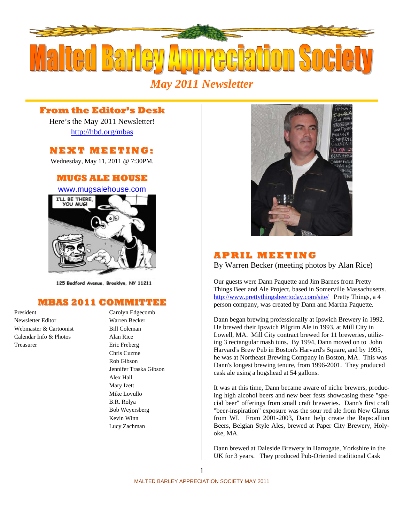

# **From the Editor's Desk**

Here's the May 2011 Newsletter! http://hbd.org/mbas

## **NEXT MEETI NG:**

Wednesday, May 11, 2011 @ 7:30PM.

## **MUGS ALE HOUSE**

www.mugsalehouse.com



125 Bedford Avenue, Brooklyn, NY 11211

## **MBAS 2011 COMMITTEE**

President Carolyn Edgecomb Newsletter Editor Warren Becker Webmaster & Cartoonist Bill Coleman Calendar Info & Photos Alan Rice Treasurer Eric Freberg

# Chris Cuzme Rob Gibson Jennifer Traska Gibson Alex Hall Mary Izett Mike Lovullo B.R. Rolya Bob Weyersberg Kevin Winn Lucy Zachman



### **A P RI L MEETI NG**

By Warren Becker (meeting photos by Alan Rice)

Our guests were Dann Paquette and Jim Barnes from Pretty Things Beer and Ale Project, based in Somerville Massachusetts. http://www.prettythingsbeertoday.com/site/ Pretty Things, a 4 person company, was created by Dann and Martha Paquette.

Dann began brewing professionally at Ipswich Brewery in 1992. He brewed their Ipswich Pilgrim Ale in 1993, at Mill City in Lowell, MA. Mill City contract brewed for 11 breweries, utilizing 3 rectangular mash tuns. By 1994, Dann moved on to John Harvard's Brew Pub in Boston's Harvard's Square, and by 1995, he was at Northeast Brewing Company in Boston, MA. This was Dann's longest brewing tenure, from 1996-2001. They produced cask ale using a hogshead at 54 gallons.

It was at this time, Dann became aware of niche brewers, producing high alcohol beers and new beer fests showcasing these "special beer" offerings from small craft breweries. Dann's first craft "beer-inspiration" exposure was the sour red ale from New Glarus from WI. From 2001-2003, Dann help create the Rapscallion Beers, Belgian Style Ales, brewed at Paper City Brewery, Holyoke, MA.

Dann brewed at Daleside Brewery in Harrogate, Yorkshire in the UK for 3 years. They produced Pub-Oriented traditional Cask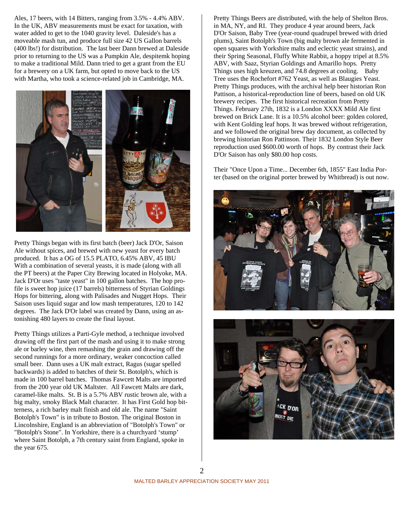Ales, 17 beers, with 14 Bitters, ranging from 3.5% - 4.4% ABV. In the UK, ABV measurements must be exact for taxation, with water added to get to the 1040 gravity level. Daleside's has a moveable mash tun, and produce full size 42 US Gallon barrels (400 lbs!) for distribution. The last beer Dann brewed at Daleside prior to returning to the US was a Pumpkin Ale, despitemk hoping to make a traditional Mild. Dann tried to get a grant from the EU for a brewery on a UK farm, but opted to move back to the US with Martha, who took a science-related job in Cambridge, MA.



Pretty Things began with its first batch (beer) Jack D'Or, Saison Ale without spices, and brewed with new yeast for every batch produced. It has a OG of 15.5 PLATO, 6.45% ABV, 45 IBU With a combination of several yeasts, it is made (along with all the PT beers) at the Paper City Brewing located in Holyoke, MA. Jack D'Or uses "taste yeast" in 100 gallon batches. The hop profile is sweet hop juice (17 barrels) bitterness of Styrian Goldings Hops for bittering, along with Palisades and Nugget Hops. Their Saison uses liquid sugar and low mash temperatures, 120 to 142 degrees. The Jack D'Or label was created by Dann, using an astonishing 480 layers to create the final layout.

Pretty Things utilizes a Parti-Gyle method, a technique involved drawing off the first part of the mash and using it to make strong ale or barley wine, then remashing the grain and drawing off the second runnings for a more ordinary, weaker concoction called small beer. Dann uses a UK malt extract, Ragus (sugar spelled backwards) is added to batches of their St. Botolph's, which is made in 100 barrel batches. Thomas Fawcett Malts are imported from the 200 year old UK Maltster. All Fawcett Malts are dark, caramel-like malts. St. B is a 5.7% ABV rustic brown ale, with a big malty, smoky Black Malt character. It has First Gold hop bitterness, a rich barley malt finish and old ale. The name "Saint Botolph's Town" is in tribute to Boston. The original Boston in Lincolnshire, England is an abbreviation of "Botolph's Town" or "Botolph's Stone". In Yorkshire, there is a churchyard 'stump' where Saint Botolph, a 7th century saint from England, spoke in the year 675.

Pretty Things Beers are distributed, with the help of Shelton Bros. in MA, NY, and RI. They produce 4 year around beers, Jack D'Or Saison, Baby Tree (year-round quadrupel brewed with dried plums), Saint Botolph's Town (big malty brown ale fermented in open squares with Yorkshire malts and eclectic yeast strains), and their Spring Seasonal, Fluffy White Rabbit, a hoppy tripel at 8.5% ABV, with Saaz, Styrian Goldings and Amarillo hops. Pretty Things uses high kreuzen, and 74.8 degrees at cooling. Baby Tree uses the Rochefort #762 Yeast, as well as Blaugies Yeast. Pretty Things produces, with the archival help beer historian Ron Pattison, a historical-reproduction line of beers, based on old UK brewery recipes. The first historical recreation from Pretty Things. February 27th, 1832 is a London XXXX Mild Ale first brewed on Brick Lane. It is a 10.5% alcohol beer: golden colored, with Kent Golding leaf hops. It was brewed without refrigeration, and we followed the original brew day document, as collected by brewing historian Ron Pattinson. Their 1832 London Style Beer reproduction used \$600.00 worth of hops. By contrast their Jack D'Or Saison has only \$80.00 hop costs.

Their "Once Upon a Time... December 6th, 1855" East India Porter (based on the original porter brewed by Whitbread) is out now.